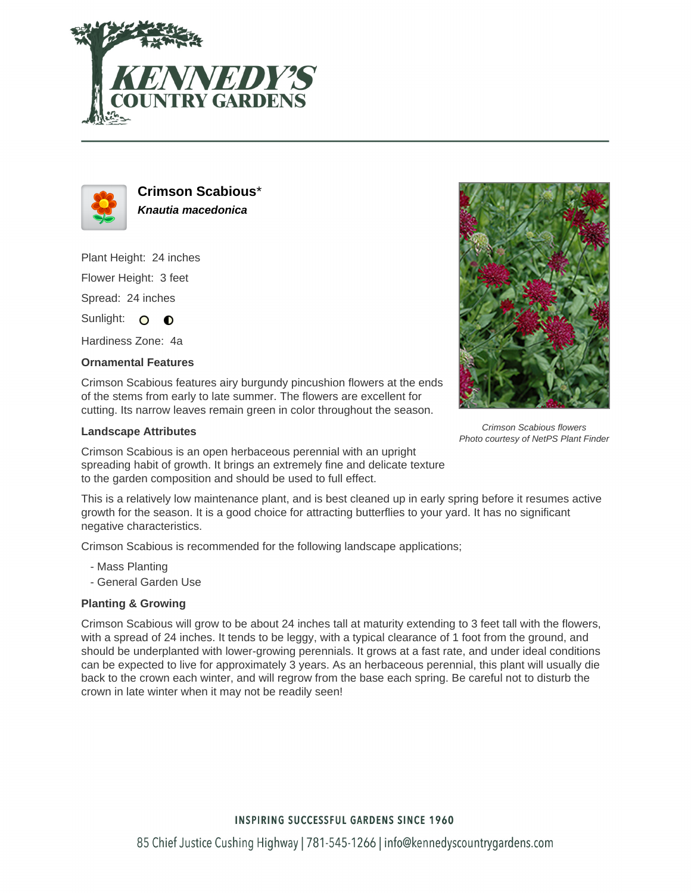



**Crimson Scabious**\* **Knautia macedonica**

Plant Height: 24 inches Flower Height: 3 feet

Spread: 24 inches

Sunlight: O **O** 

Hardiness Zone: 4a

## **Ornamental Features**

Crimson Scabious features airy burgundy pincushion flowers at the ends of the stems from early to late summer. The flowers are excellent for cutting. Its narrow leaves remain green in color throughout the season.

## **Landscape Attributes**

Crimson Scabious is an open herbaceous perennial with an upright spreading habit of growth. It brings an extremely fine and delicate texture to the garden composition and should be used to full effect.

This is a relatively low maintenance plant, and is best cleaned up in early spring before it resumes active growth for the season. It is a good choice for attracting butterflies to your yard. It has no significant negative characteristics.

Crimson Scabious is recommended for the following landscape applications;

- Mass Planting
- General Garden Use

## **Planting & Growing**

Crimson Scabious will grow to be about 24 inches tall at maturity extending to 3 feet tall with the flowers, with a spread of 24 inches. It tends to be leggy, with a typical clearance of 1 foot from the ground, and should be underplanted with lower-growing perennials. It grows at a fast rate, and under ideal conditions can be expected to live for approximately 3 years. As an herbaceous perennial, this plant will usually die back to the crown each winter, and will regrow from the base each spring. Be careful not to disturb the crown in late winter when it may not be readily seen!



Crimson Scabious flowers Photo courtesy of NetPS Plant Finder